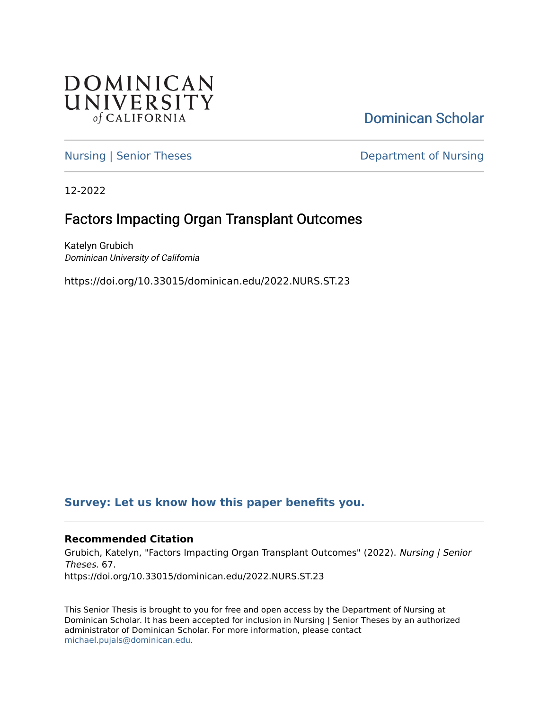

[Dominican Scholar](https://scholar.dominican.edu/) 

[Nursing | Senior Theses](https://scholar.dominican.edu/nursing-senior-theses) **Department of Nursing** 

12-2022

# Factors Impacting Organ Transplant Outcomes

Katelyn Grubich Dominican University of California

https://doi.org/10.33015/dominican.edu/2022.NURS.ST.23

# **[Survey: Let us know how this paper benefits you.](https://dominican.libwizard.com/dominican-scholar-feedback)**

# **Recommended Citation**

Grubich, Katelyn, "Factors Impacting Organ Transplant Outcomes" (2022). Nursing | Senior Theses. 67. https://doi.org/10.33015/dominican.edu/2022.NURS.ST.23

This Senior Thesis is brought to you for free and open access by the Department of Nursing at Dominican Scholar. It has been accepted for inclusion in Nursing | Senior Theses by an authorized administrator of Dominican Scholar. For more information, please contact [michael.pujals@dominican.edu.](mailto:michael.pujals@dominican.edu)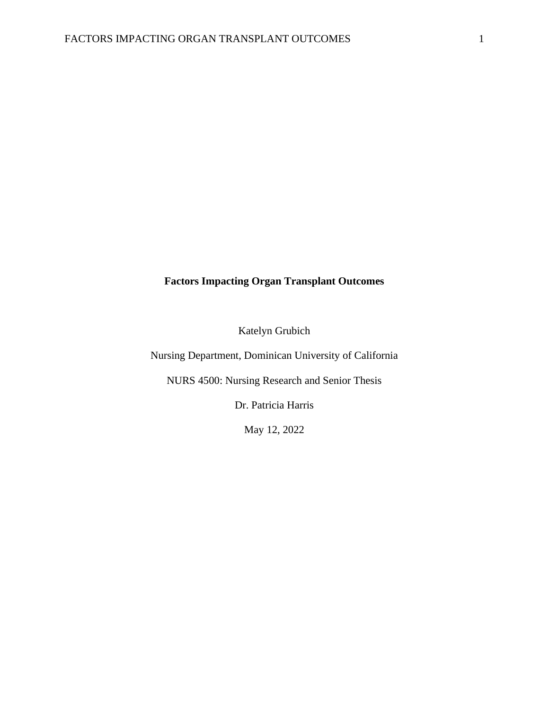# **Factors Impacting Organ Transplant Outcomes**

Katelyn Grubich

Nursing Department, Dominican University of California

NURS 4500: Nursing Research and Senior Thesis

Dr. Patricia Harris

May 12, 2022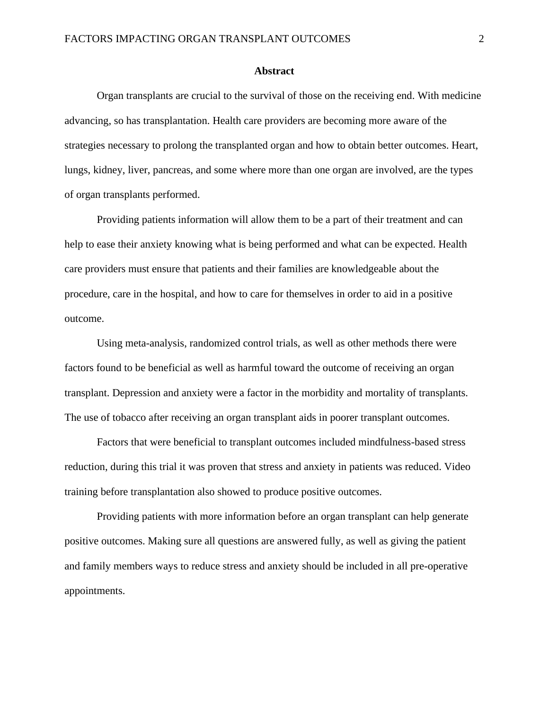#### **Abstract**

Organ transplants are crucial to the survival of those on the receiving end. With medicine advancing, so has transplantation. Health care providers are becoming more aware of the strategies necessary to prolong the transplanted organ and how to obtain better outcomes. Heart, lungs, kidney, liver, pancreas, and some where more than one organ are involved, are the types of organ transplants performed.

Providing patients information will allow them to be a part of their treatment and can help to ease their anxiety knowing what is being performed and what can be expected. Health care providers must ensure that patients and their families are knowledgeable about the procedure, care in the hospital, and how to care for themselves in order to aid in a positive outcome.

Using meta-analysis, randomized control trials, as well as other methods there were factors found to be beneficial as well as harmful toward the outcome of receiving an organ transplant. Depression and anxiety were a factor in the morbidity and mortality of transplants. The use of tobacco after receiving an organ transplant aids in poorer transplant outcomes.

Factors that were beneficial to transplant outcomes included mindfulness-based stress reduction, during this trial it was proven that stress and anxiety in patients was reduced. Video training before transplantation also showed to produce positive outcomes.

Providing patients with more information before an organ transplant can help generate positive outcomes. Making sure all questions are answered fully, as well as giving the patient and family members ways to reduce stress and anxiety should be included in all pre-operative appointments.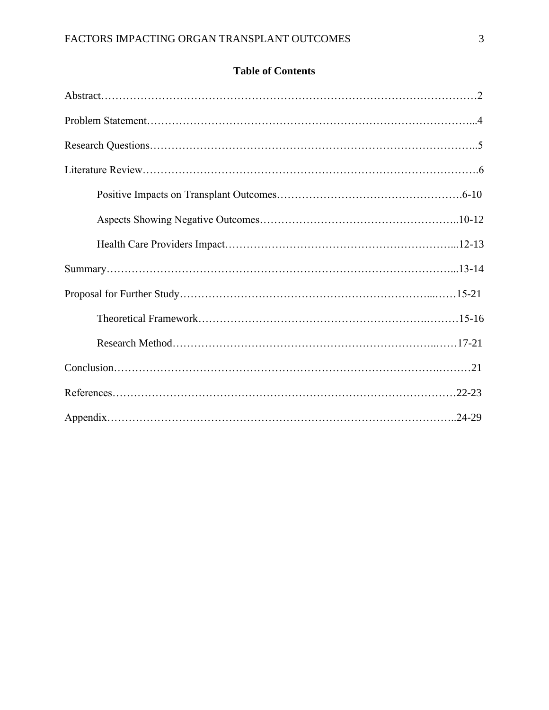# **Table of Contents**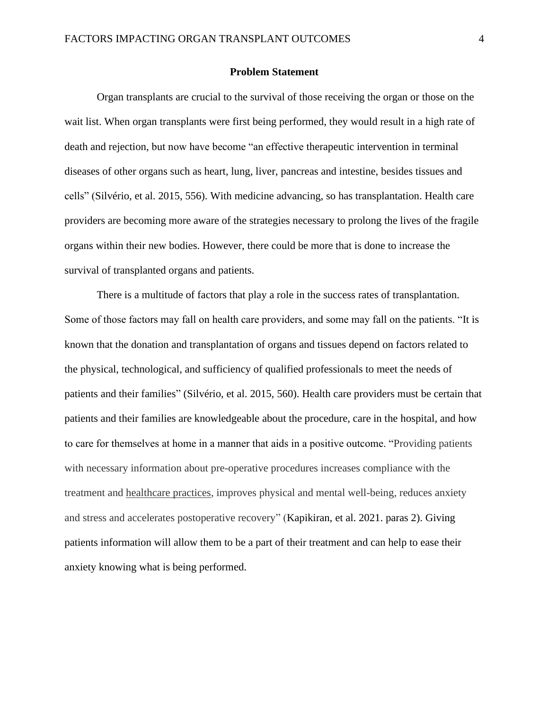#### **Problem Statement**

Organ transplants are crucial to the survival of those receiving the organ or those on the wait list. When organ transplants were first being performed, they would result in a high rate of death and rejection, but now have become "an effective therapeutic intervention in terminal diseases of other organs such as heart, lung, liver, pancreas and intestine, besides tissues and cells" (Silvério, et al. 2015, 556). With medicine advancing, so has transplantation. Health care providers are becoming more aware of the strategies necessary to prolong the lives of the fragile organs within their new bodies. However, there could be more that is done to increase the survival of transplanted organs and patients.

There is a multitude of factors that play a role in the success rates of transplantation. Some of those factors may fall on health care providers, and some may fall on the patients. "It is known that the donation and transplantation of organs and tissues depend on factors related to the physical, technological, and sufficiency of qualified professionals to meet the needs of patients and their families" (Silvério, et al. 2015, 560). Health care providers must be certain that patients and their families are knowledgeable about the procedure, care in the hospital, and how to care for themselves at home in a manner that aids in a positive outcome. "Providing patients with necessary information about pre-operative procedures increases compliance with the treatment and [healthcare practices,](https://www.sciencedirect.com/topics/nursing-and-health-professions/health-care-practice) improves physical and mental well-being, reduces anxiety and stress and accelerates postoperative recovery" (Kapikiran, et al. 2021. paras 2). Giving patients information will allow them to be a part of their treatment and can help to ease their anxiety knowing what is being performed.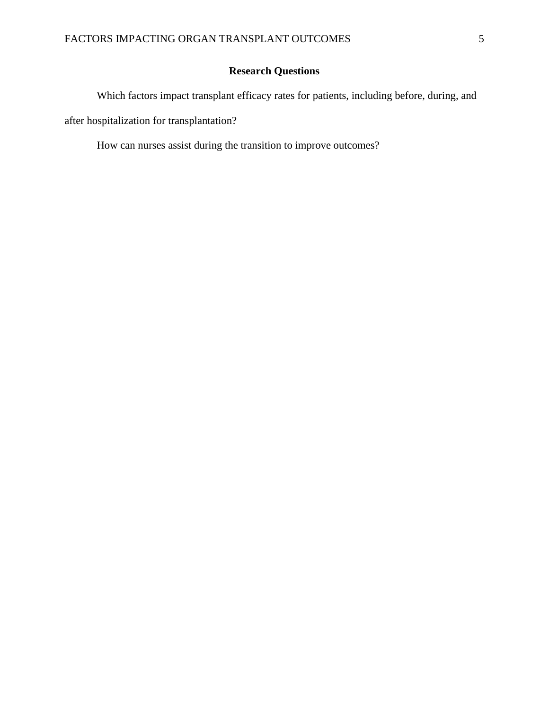# **Research Questions**

Which factors impact transplant efficacy rates for patients, including before, during, and after hospitalization for transplantation?

How can nurses assist during the transition to improve outcomes?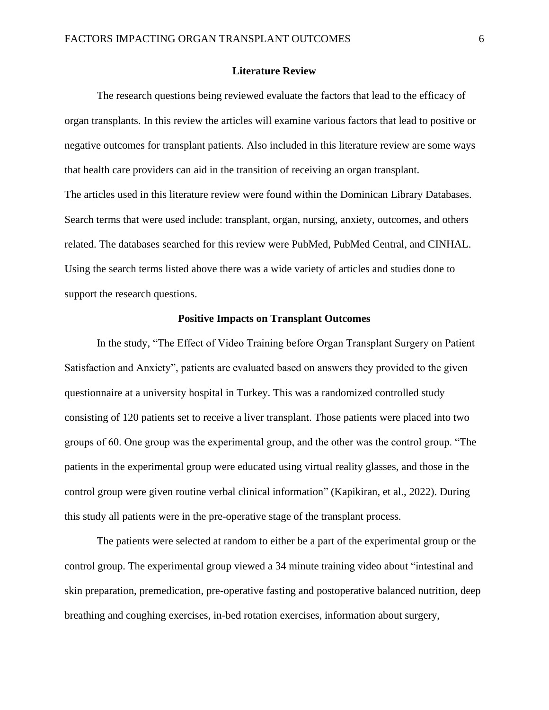#### **Literature Review**

The research questions being reviewed evaluate the factors that lead to the efficacy of organ transplants. In this review the articles will examine various factors that lead to positive or negative outcomes for transplant patients. Also included in this literature review are some ways that health care providers can aid in the transition of receiving an organ transplant. The articles used in this literature review were found within the Dominican Library Databases. Search terms that were used include: transplant, organ, nursing, anxiety, outcomes, and others related. The databases searched for this review were PubMed, PubMed Central, and CINHAL. Using the search terms listed above there was a wide variety of articles and studies done to support the research questions.

### **Positive Impacts on Transplant Outcomes**

In the study, "The Effect of Video Training before Organ Transplant Surgery on Patient Satisfaction and Anxiety", patients are evaluated based on answers they provided to the given questionnaire at a university hospital in Turkey. This was a randomized controlled study consisting of 120 patients set to receive a liver transplant. Those patients were placed into two groups of 60. One group was the experimental group, and the other was the control group. "The patients in the experimental group were educated using virtual reality glasses, and those in the control group were given routine verbal clinical information" (Kapikiran, et al., 2022). During this study all patients were in the pre-operative stage of the transplant process.

The patients were selected at random to either be a part of the experimental group or the control group. The experimental group viewed a 34 minute training video about "intestinal and skin preparation, premedication, pre-operative fasting and postoperative balanced nutrition, deep breathing and coughing exercises, in-bed rotation exercises, information about surgery,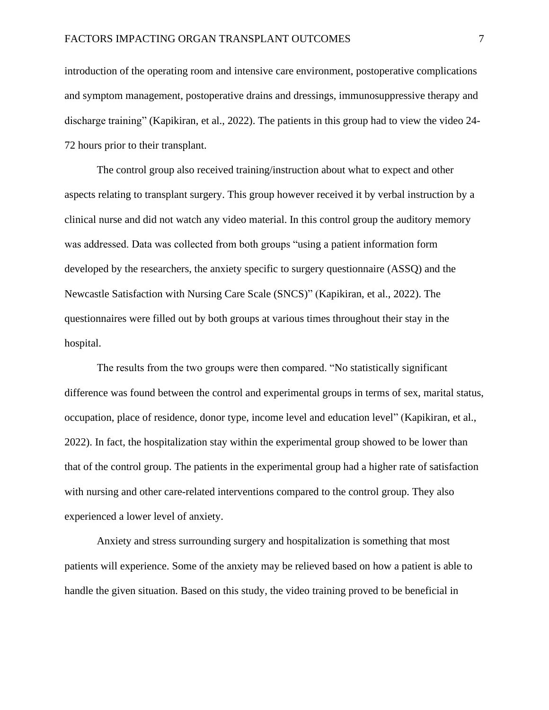introduction of the operating room and intensive care environment, postoperative complications and symptom management, postoperative drains and dressings, immunosuppressive therapy and discharge training" (Kapikiran, et al., 2022). The patients in this group had to view the video 24- 72 hours prior to their transplant.

The control group also received training/instruction about what to expect and other aspects relating to transplant surgery. This group however received it by verbal instruction by a clinical nurse and did not watch any video material. In this control group the auditory memory was addressed. Data was collected from both groups "using a patient information form developed by the researchers, the anxiety specific to surgery questionnaire (ASSQ) and the Newcastle Satisfaction with Nursing Care Scale (SNCS)" (Kapikiran, et al., 2022). The questionnaires were filled out by both groups at various times throughout their stay in the hospital.

The results from the two groups were then compared. "No statistically significant difference was found between the control and experimental groups in terms of sex, marital status, occupation, place of residence, donor type, income level and education level" (Kapikiran, et al., 2022). In fact, the hospitalization stay within the experimental group showed to be lower than that of the control group. The patients in the experimental group had a higher rate of satisfaction with nursing and other care-related interventions compared to the control group. They also experienced a lower level of anxiety.

Anxiety and stress surrounding surgery and hospitalization is something that most patients will experience. Some of the anxiety may be relieved based on how a patient is able to handle the given situation. Based on this study, the video training proved to be beneficial in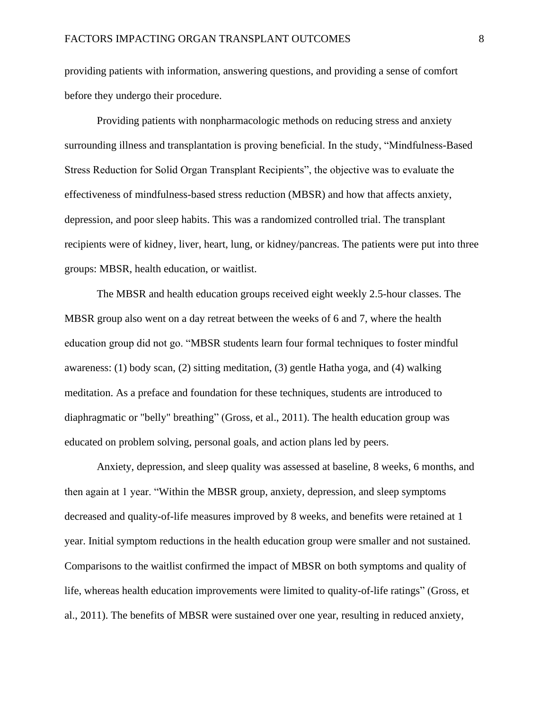providing patients with information, answering questions, and providing a sense of comfort before they undergo their procedure.

Providing patients with nonpharmacologic methods on reducing stress and anxiety surrounding illness and transplantation is proving beneficial. In the study, "Mindfulness-Based Stress Reduction for Solid Organ Transplant Recipients", the objective was to evaluate the effectiveness of mindfulness-based stress reduction (MBSR) and how that affects anxiety, depression, and poor sleep habits. This was a randomized controlled trial. The transplant recipients were of kidney, liver, heart, lung, or kidney/pancreas. The patients were put into three groups: MBSR, health education, or waitlist.

The MBSR and health education groups received eight weekly 2.5-hour classes. The MBSR group also went on a day retreat between the weeks of 6 and 7, where the health education group did not go. "MBSR students learn four formal techniques to foster mindful awareness: (1) body scan, (2) sitting meditation, (3) gentle Hatha yoga, and (4) walking meditation. As a preface and foundation for these techniques, students are introduced to diaphragmatic or "belly" breathing" (Gross, et al., 2011). The health education group was educated on problem solving, personal goals, and action plans led by peers.

Anxiety, depression, and sleep quality was assessed at baseline, 8 weeks, 6 months, and then again at 1 year. "Within the MBSR group, anxiety, depression, and sleep symptoms decreased and quality-of-life measures improved by 8 weeks, and benefits were retained at 1 year. Initial symptom reductions in the health education group were smaller and not sustained. Comparisons to the waitlist confirmed the impact of MBSR on both symptoms and quality of life, whereas health education improvements were limited to quality-of-life ratings" (Gross, et al., 2011). The benefits of MBSR were sustained over one year, resulting in reduced anxiety,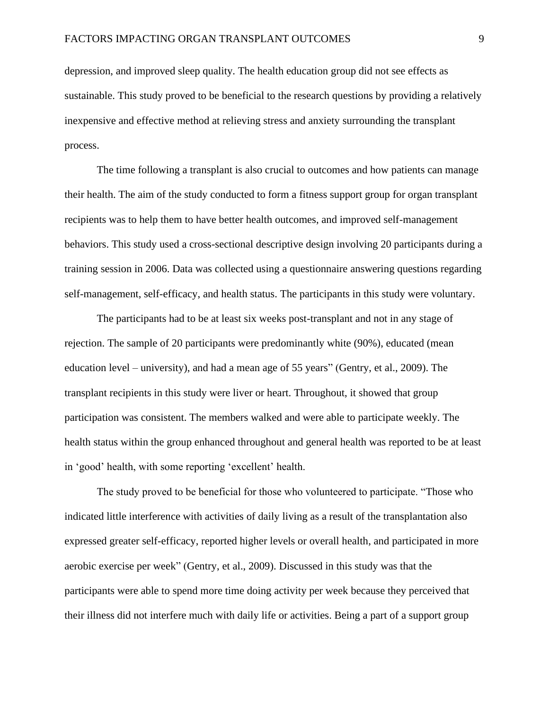depression, and improved sleep quality. The health education group did not see effects as sustainable. This study proved to be beneficial to the research questions by providing a relatively inexpensive and effective method at relieving stress and anxiety surrounding the transplant process.

The time following a transplant is also crucial to outcomes and how patients can manage their health. The aim of the study conducted to form a fitness support group for organ transplant recipients was to help them to have better health outcomes, and improved self-management behaviors. This study used a cross-sectional descriptive design involving 20 participants during a training session in 2006. Data was collected using a questionnaire answering questions regarding self-management, self-efficacy, and health status. The participants in this study were voluntary.

The participants had to be at least six weeks post-transplant and not in any stage of rejection. The sample of 20 participants were predominantly white (90%), educated (mean education level – university), and had a mean age of 55 years" (Gentry, et al., 2009). The transplant recipients in this study were liver or heart. Throughout, it showed that group participation was consistent. The members walked and were able to participate weekly. The health status within the group enhanced throughout and general health was reported to be at least in 'good' health, with some reporting 'excellent' health.

The study proved to be beneficial for those who volunteered to participate. "Those who indicated little interference with activities of daily living as a result of the transplantation also expressed greater self-efficacy, reported higher levels or overall health, and participated in more aerobic exercise per week" (Gentry, et al., 2009). Discussed in this study was that the participants were able to spend more time doing activity per week because they perceived that their illness did not interfere much with daily life or activities. Being a part of a support group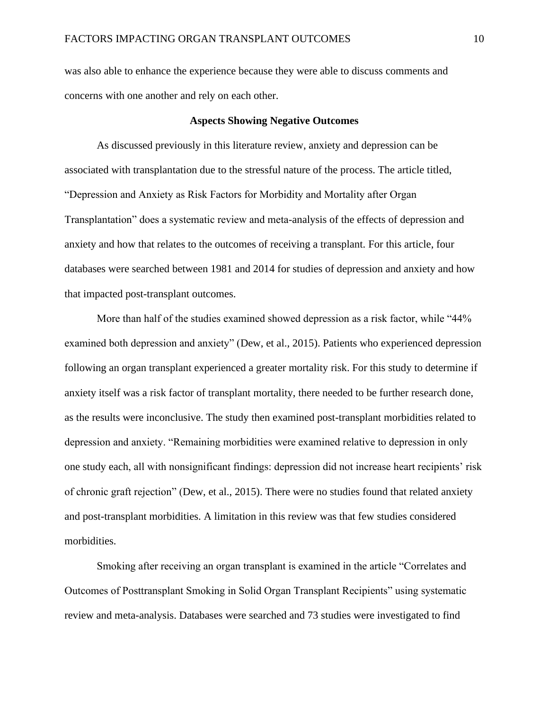was also able to enhance the experience because they were able to discuss comments and concerns with one another and rely on each other.

#### **Aspects Showing Negative Outcomes**

As discussed previously in this literature review, anxiety and depression can be associated with transplantation due to the stressful nature of the process. The article titled, "Depression and Anxiety as Risk Factors for Morbidity and Mortality after Organ Transplantation" does a systematic review and meta-analysis of the effects of depression and anxiety and how that relates to the outcomes of receiving a transplant. For this article, four databases were searched between 1981 and 2014 for studies of depression and anxiety and how that impacted post-transplant outcomes.

More than half of the studies examined showed depression as a risk factor, while "44% examined both depression and anxiety" (Dew, et al., 2015). Patients who experienced depression following an organ transplant experienced a greater mortality risk. For this study to determine if anxiety itself was a risk factor of transplant mortality, there needed to be further research done, as the results were inconclusive. The study then examined post-transplant morbidities related to depression and anxiety. "Remaining morbidities were examined relative to depression in only one study each, all with nonsignificant findings: depression did not increase heart recipients' risk of chronic graft rejection" (Dew, et al., 2015). There were no studies found that related anxiety and post-transplant morbidities. A limitation in this review was that few studies considered morbidities.

Smoking after receiving an organ transplant is examined in the article "Correlates and Outcomes of Posttransplant Smoking in Solid Organ Transplant Recipients" using systematic review and meta-analysis. Databases were searched and 73 studies were investigated to find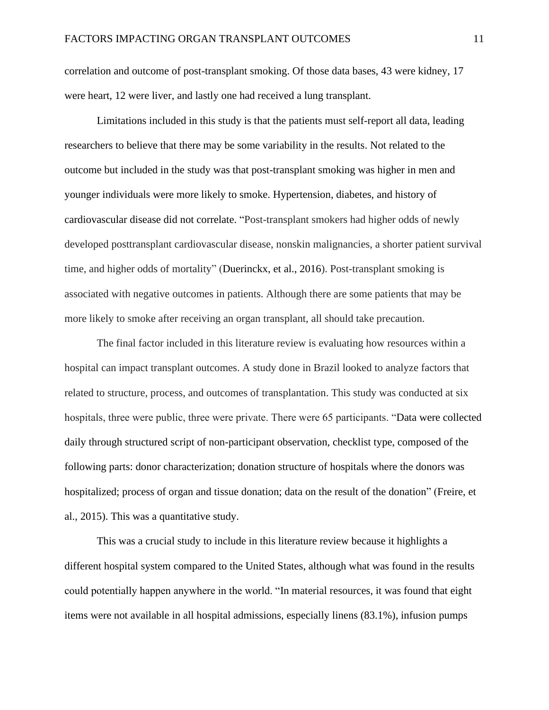correlation and outcome of post-transplant smoking. Of those data bases, 43 were kidney, 17 were heart, 12 were liver, and lastly one had received a lung transplant.

Limitations included in this study is that the patients must self-report all data, leading researchers to believe that there may be some variability in the results. Not related to the outcome but included in the study was that post-transplant smoking was higher in men and younger individuals were more likely to smoke. Hypertension, diabetes, and history of cardiovascular disease did not correlate. "Post-transplant smokers had higher odds of newly developed posttransplant cardiovascular disease, nonskin malignancies, a shorter patient survival time, and higher odds of mortality" (Duerinckx, et al., 2016). Post-transplant smoking is associated with negative outcomes in patients. Although there are some patients that may be more likely to smoke after receiving an organ transplant, all should take precaution.

The final factor included in this literature review is evaluating how resources within a hospital can impact transplant outcomes. A study done in Brazil looked to analyze factors that related to structure, process, and outcomes of transplantation. This study was conducted at six hospitals, three were public, three were private. There were 65 participants. "Data were collected daily through structured script of non-participant observation, checklist type, composed of the following parts: donor characterization; donation structure of hospitals where the donors was hospitalized; process of organ and tissue donation; data on the result of the donation" (Freire, et al., 2015). This was a quantitative study.

This was a crucial study to include in this literature review because it highlights a different hospital system compared to the United States, although what was found in the results could potentially happen anywhere in the world. "In material resources, it was found that eight items were not available in all hospital admissions, especially linens (83.1%), infusion pumps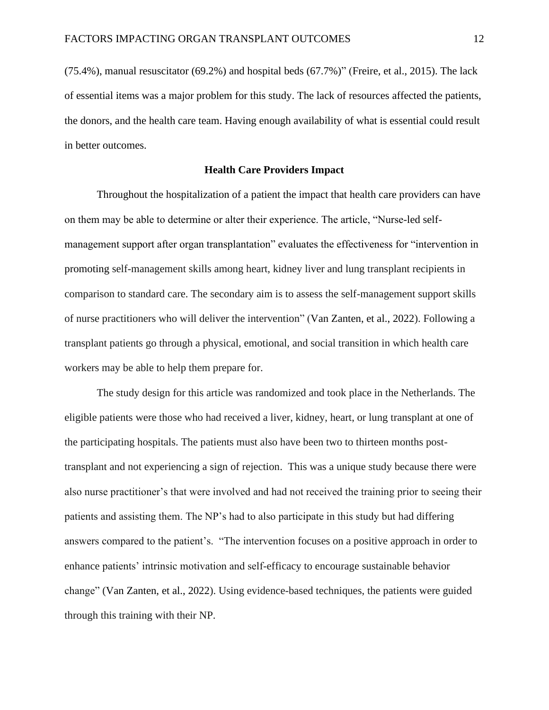(75.4%), manual resuscitator (69.2%) and hospital beds (67.7%)" (Freire, et al., 2015). The lack of essential items was a major problem for this study. The lack of resources affected the patients, the donors, and the health care team. Having enough availability of what is essential could result in better outcomes.

#### **Health Care Providers Impact**

Throughout the hospitalization of a patient the impact that health care providers can have on them may be able to determine or alter their experience. The article, "Nurse-led selfmanagement support after organ transplantation" evaluates the effectiveness for "intervention in promoting self-management skills among heart, kidney liver and lung transplant recipients in comparison to standard care. The secondary aim is to assess the self-management support skills of nurse practitioners who will deliver the intervention" (Van Zanten, et al., 2022). Following a transplant patients go through a physical, emotional, and social transition in which health care workers may be able to help them prepare for.

The study design for this article was randomized and took place in the Netherlands. The eligible patients were those who had received a liver, kidney, heart, or lung transplant at one of the participating hospitals. The patients must also have been two to thirteen months posttransplant and not experiencing a sign of rejection. This was a unique study because there were also nurse practitioner's that were involved and had not received the training prior to seeing their patients and assisting them. The NP's had to also participate in this study but had differing answers compared to the patient's. "The intervention focuses on a positive approach in order to enhance patients' intrinsic motivation and self-efficacy to encourage sustainable behavior change" (Van Zanten, et al., 2022). Using evidence-based techniques, the patients were guided through this training with their NP.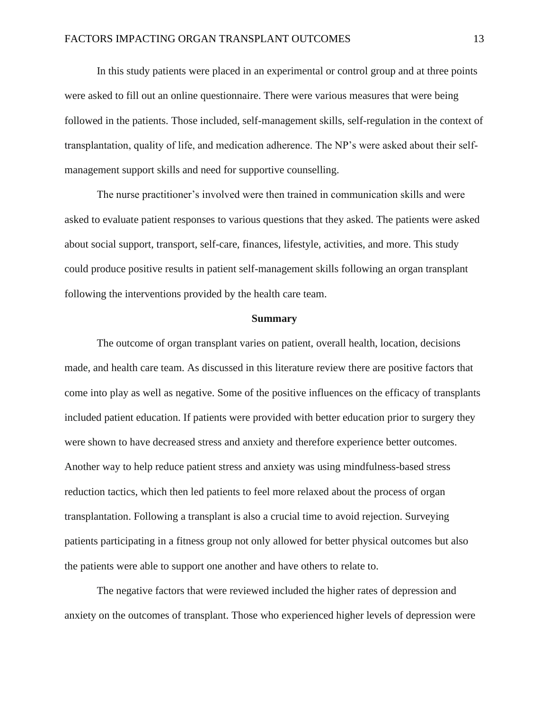In this study patients were placed in an experimental or control group and at three points were asked to fill out an online questionnaire. There were various measures that were being followed in the patients. Those included, self-management skills, self-regulation in the context of transplantation, quality of life, and medication adherence. The NP's were asked about their selfmanagement support skills and need for supportive counselling.

The nurse practitioner's involved were then trained in communication skills and were asked to evaluate patient responses to various questions that they asked. The patients were asked about social support, transport, self-care, finances, lifestyle, activities, and more. This study could produce positive results in patient self-management skills following an organ transplant following the interventions provided by the health care team.

#### **Summary**

The outcome of organ transplant varies on patient, overall health, location, decisions made, and health care team. As discussed in this literature review there are positive factors that come into play as well as negative. Some of the positive influences on the efficacy of transplants included patient education. If patients were provided with better education prior to surgery they were shown to have decreased stress and anxiety and therefore experience better outcomes. Another way to help reduce patient stress and anxiety was using mindfulness-based stress reduction tactics, which then led patients to feel more relaxed about the process of organ transplantation. Following a transplant is also a crucial time to avoid rejection. Surveying patients participating in a fitness group not only allowed for better physical outcomes but also the patients were able to support one another and have others to relate to.

The negative factors that were reviewed included the higher rates of depression and anxiety on the outcomes of transplant. Those who experienced higher levels of depression were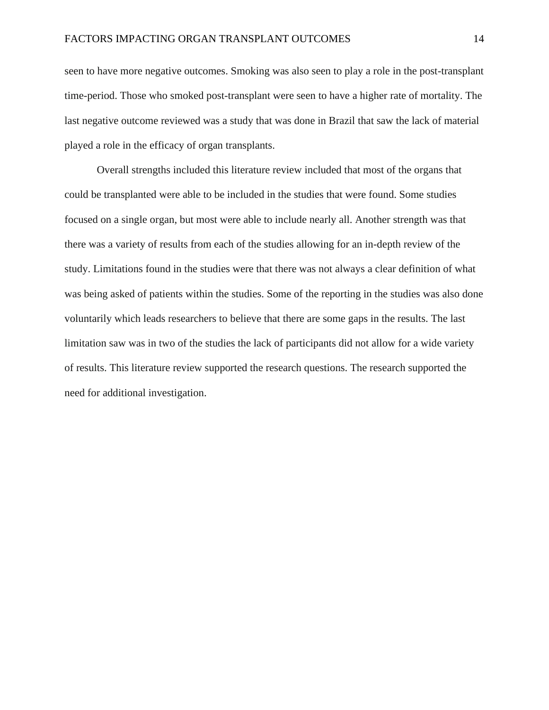seen to have more negative outcomes. Smoking was also seen to play a role in the post-transplant time-period. Those who smoked post-transplant were seen to have a higher rate of mortality. The last negative outcome reviewed was a study that was done in Brazil that saw the lack of material played a role in the efficacy of organ transplants.

Overall strengths included this literature review included that most of the organs that could be transplanted were able to be included in the studies that were found. Some studies focused on a single organ, but most were able to include nearly all. Another strength was that there was a variety of results from each of the studies allowing for an in-depth review of the study. Limitations found in the studies were that there was not always a clear definition of what was being asked of patients within the studies. Some of the reporting in the studies was also done voluntarily which leads researchers to believe that there are some gaps in the results. The last limitation saw was in two of the studies the lack of participants did not allow for a wide variety of results. This literature review supported the research questions. The research supported the need for additional investigation.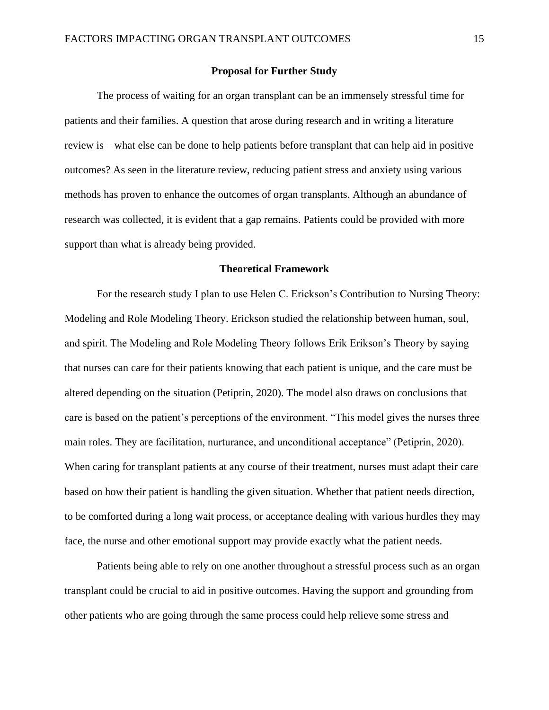#### **Proposal for Further Study**

The process of waiting for an organ transplant can be an immensely stressful time for patients and their families. A question that arose during research and in writing a literature review is – what else can be done to help patients before transplant that can help aid in positive outcomes? As seen in the literature review, reducing patient stress and anxiety using various methods has proven to enhance the outcomes of organ transplants. Although an abundance of research was collected, it is evident that a gap remains. Patients could be provided with more support than what is already being provided.

#### **Theoretical Framework**

For the research study I plan to use Helen C. Erickson's Contribution to Nursing Theory: Modeling and Role Modeling Theory. Erickson studied the relationship between human, soul, and spirit. The Modeling and Role Modeling Theory follows Erik Erikson's Theory by saying that nurses can care for their patients knowing that each patient is unique, and the care must be altered depending on the situation (Petiprin, 2020). The model also draws on conclusions that care is based on the patient's perceptions of the environment. "This model gives the nurses three main roles. They are facilitation, nurturance, and unconditional acceptance" (Petiprin, 2020). When caring for transplant patients at any course of their treatment, nurses must adapt their care based on how their patient is handling the given situation. Whether that patient needs direction, to be comforted during a long wait process, or acceptance dealing with various hurdles they may face, the nurse and other emotional support may provide exactly what the patient needs.

Patients being able to rely on one another throughout a stressful process such as an organ transplant could be crucial to aid in positive outcomes. Having the support and grounding from other patients who are going through the same process could help relieve some stress and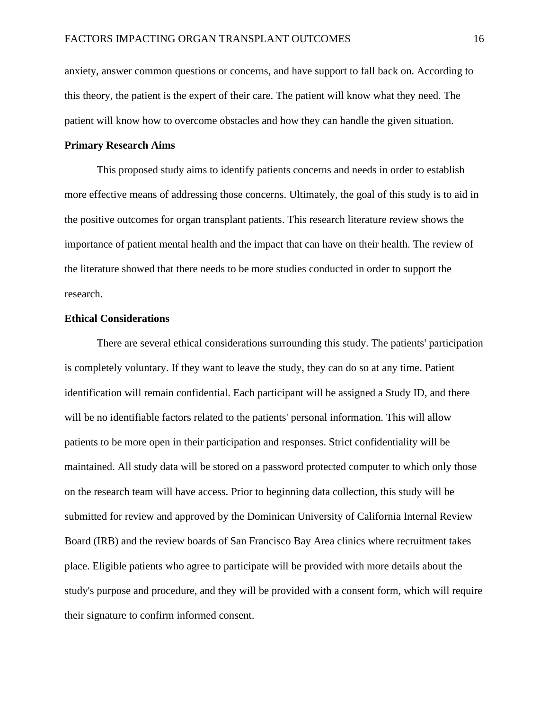anxiety, answer common questions or concerns, and have support to fall back on. According to this theory, the patient is the expert of their care. The patient will know what they need. The patient will know how to overcome obstacles and how they can handle the given situation.

### **Primary Research Aims**

This proposed study aims to identify patients concerns and needs in order to establish more effective means of addressing those concerns. Ultimately, the goal of this study is to aid in the positive outcomes for organ transplant patients. This research literature review shows the importance of patient mental health and the impact that can have on their health. The review of the literature showed that there needs to be more studies conducted in order to support the research.

### **Ethical Considerations**

There are several ethical considerations surrounding this study. The patients' participation is completely voluntary. If they want to leave the study, they can do so at any time. Patient identification will remain confidential. Each participant will be assigned a Study ID, and there will be no identifiable factors related to the patients' personal information. This will allow patients to be more open in their participation and responses. Strict confidentiality will be maintained. All study data will be stored on a password protected computer to which only those on the research team will have access. Prior to beginning data collection, this study will be submitted for review and approved by the Dominican University of California Internal Review Board (IRB) and the review boards of San Francisco Bay Area clinics where recruitment takes place. Eligible patients who agree to participate will be provided with more details about the study's purpose and procedure, and they will be provided with a consent form, which will require their signature to confirm informed consent.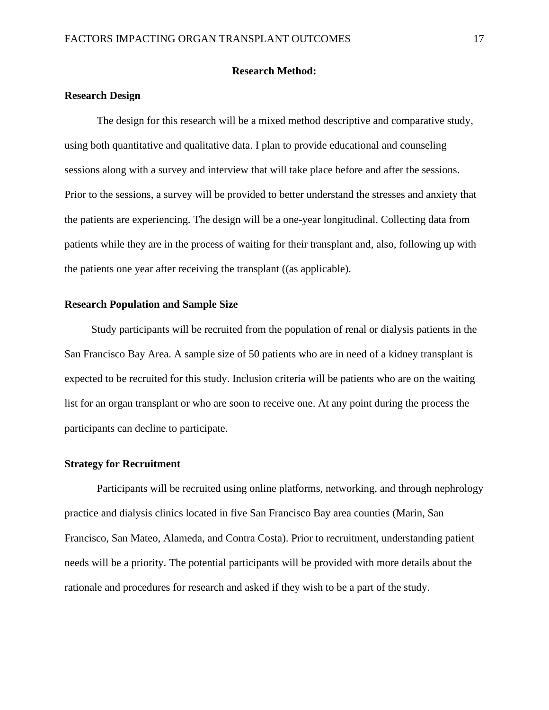### **Research Method:**

### **Research Design**

The design for this research will be a mixed method descriptive and comparative study, using both quantitative and qualitative data. I plan to provide educational and counseling sessions along with a survey and interview that will take place before and after the sessions. Prior to the sessions, a survey will be provided to better understand the stresses and anxiety that the patients are experiencing. The design will be a one-year longitudinal. Collecting data from patients while they are in the process of waiting for their transplant and, also, following up with the patients one year after receiving the transplant ((as applicable).

#### **Research Population and Sample Size**

Study participants will be recruited from the population of renal or dialysis patients in the San Francisco Bay Area. A sample size of 50 patients who are in need of a kidney transplant is expected to be recruited for this study. Inclusion criteria will be patients who are on the waiting list for an organ transplant or who are soon to receive one. At any point during the process the participants can decline to participate.

### **Strategy for Recruitment**

Participants will be recruited using online platforms, networking, and through nephrology practice and dialysis clinics located in five San Francisco Bay area counties (Marin, San Francisco, San Mateo, Alameda, and Contra Costa). Prior to recruitment, understanding patient needs will be a priority. The potential participants will be provided with more details about the rationale and procedures for research and asked if they wish to be a part of the study.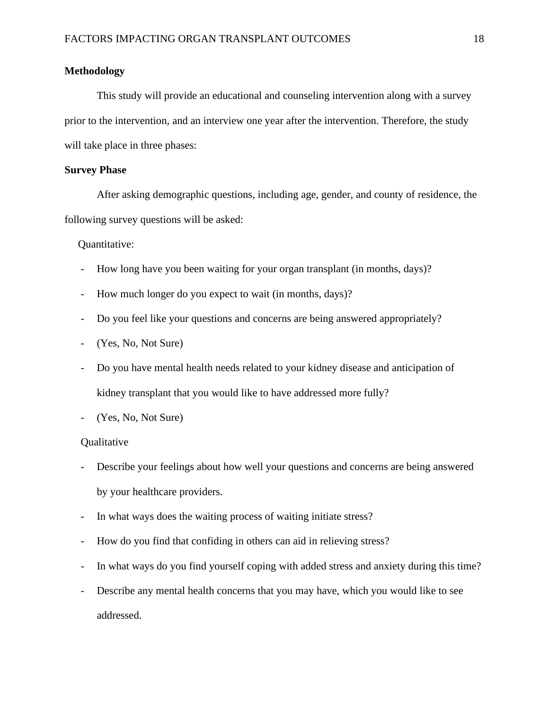## **Methodology**

This study will provide an educational and counseling intervention along with a survey prior to the intervention, and an interview one year after the intervention. Therefore, the study will take place in three phases:

### **Survey Phase**

After asking demographic questions, including age, gender, and county of residence, the following survey questions will be asked:

Quantitative:

- How long have you been waiting for your organ transplant (in months, days)?
- How much longer do you expect to wait (in months, days)?
- Do you feel like your questions and concerns are being answered appropriately?
- (Yes, No, Not Sure)
- Do you have mental health needs related to your kidney disease and anticipation of kidney transplant that you would like to have addressed more fully?
- (Yes, No, Not Sure)

### **Qualitative**

- Describe your feelings about how well your questions and concerns are being answered by your healthcare providers.
- In what ways does the waiting process of waiting initiate stress?
- How do you find that confiding in others can aid in relieving stress?
- In what ways do you find yourself coping with added stress and anxiety during this time?
- Describe any mental health concerns that you may have, which you would like to see addressed.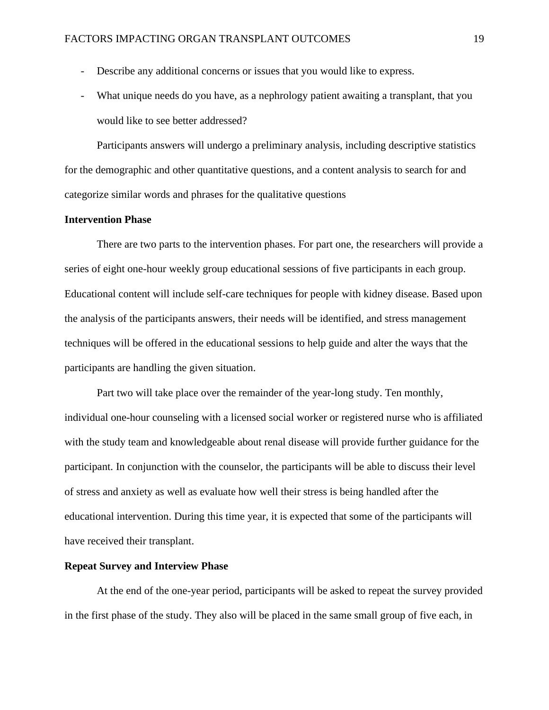- Describe any additional concerns or issues that you would like to express.
- What unique needs do you have, as a nephrology patient awaiting a transplant, that you would like to see better addressed?

Participants answers will undergo a preliminary analysis, including descriptive statistics for the demographic and other quantitative questions, and a content analysis to search for and categorize similar words and phrases for the qualitative questions

# **Intervention Phase**

There are two parts to the intervention phases. For part one, the researchers will provide a series of eight one-hour weekly group educational sessions of five participants in each group. Educational content will include self-care techniques for people with kidney disease. Based upon the analysis of the participants answers, their needs will be identified, and stress management techniques will be offered in the educational sessions to help guide and alter the ways that the participants are handling the given situation.

Part two will take place over the remainder of the year-long study. Ten monthly, individual one-hour counseling with a licensed social worker or registered nurse who is affiliated with the study team and knowledgeable about renal disease will provide further guidance for the participant. In conjunction with the counselor, the participants will be able to discuss their level of stress and anxiety as well as evaluate how well their stress is being handled after the educational intervention. During this time year, it is expected that some of the participants will have received their transplant.

#### **Repeat Survey and Interview Phase**

At the end of the one-year period, participants will be asked to repeat the survey provided in the first phase of the study. They also will be placed in the same small group of five each, in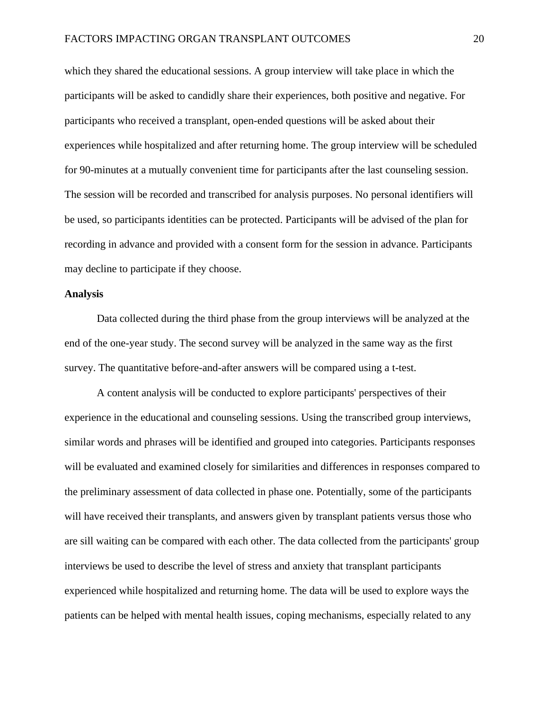which they shared the educational sessions. A group interview will take place in which the participants will be asked to candidly share their experiences, both positive and negative. For participants who received a transplant, open-ended questions will be asked about their experiences while hospitalized and after returning home. The group interview will be scheduled for 90-minutes at a mutually convenient time for participants after the last counseling session. The session will be recorded and transcribed for analysis purposes. No personal identifiers will be used, so participants identities can be protected. Participants will be advised of the plan for recording in advance and provided with a consent form for the session in advance. Participants may decline to participate if they choose.

### **Analysis**

Data collected during the third phase from the group interviews will be analyzed at the end of the one-year study. The second survey will be analyzed in the same way as the first survey. The quantitative before-and-after answers will be compared using a t-test.

A content analysis will be conducted to explore participants' perspectives of their experience in the educational and counseling sessions. Using the transcribed group interviews, similar words and phrases will be identified and grouped into categories. Participants responses will be evaluated and examined closely for similarities and differences in responses compared to the preliminary assessment of data collected in phase one. Potentially, some of the participants will have received their transplants, and answers given by transplant patients versus those who are sill waiting can be compared with each other. The data collected from the participants' group interviews be used to describe the level of stress and anxiety that transplant participants experienced while hospitalized and returning home. The data will be used to explore ways the patients can be helped with mental health issues, coping mechanisms, especially related to any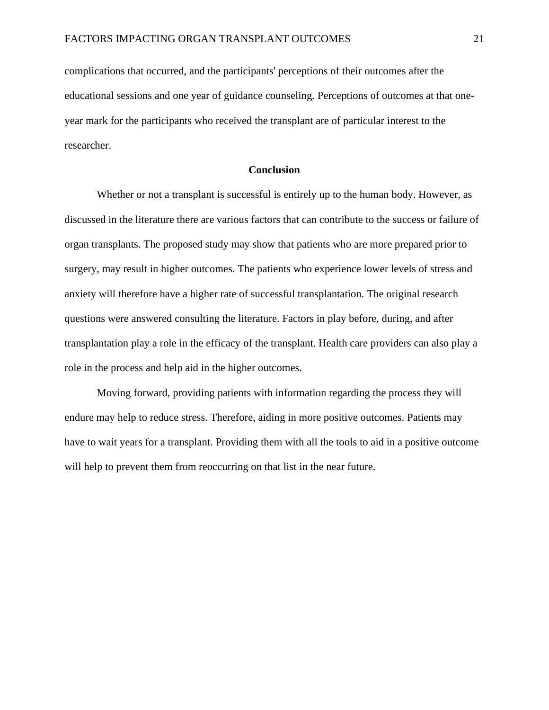complications that occurred, and the participants' perceptions of their outcomes after the educational sessions and one year of guidance counseling. Perceptions of outcomes at that oneyear mark for the participants who received the transplant are of particular interest to the researcher.

### **Conclusion**

Whether or not a transplant is successful is entirely up to the human body. However, as discussed in the literature there are various factors that can contribute to the success or failure of organ transplants. The proposed study may show that patients who are more prepared prior to surgery, may result in higher outcomes. The patients who experience lower levels of stress and anxiety will therefore have a higher rate of successful transplantation. The original research questions were answered consulting the literature. Factors in play before, during, and after transplantation play a role in the efficacy of the transplant. Health care providers can also play a role in the process and help aid in the higher outcomes.

Moving forward, providing patients with information regarding the process they will endure may help to reduce stress. Therefore, aiding in more positive outcomes. Patients may have to wait years for a transplant. Providing them with all the tools to aid in a positive outcome will help to prevent them from reoccurring on that list in the near future.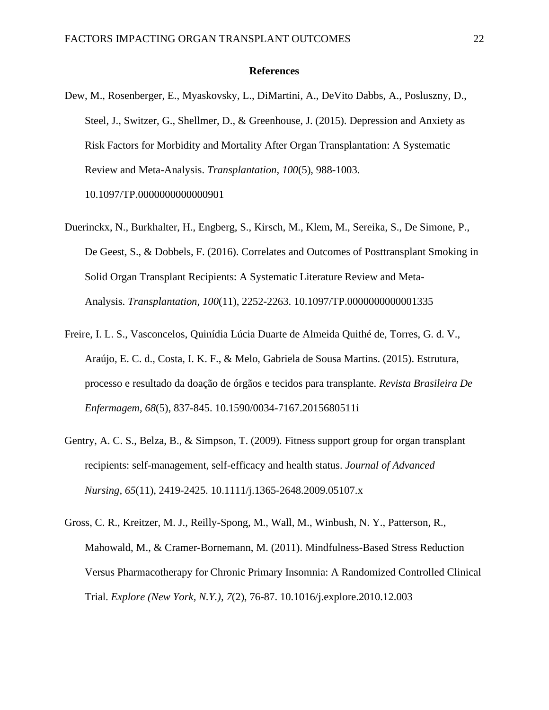#### **References**

- Dew, M., Rosenberger, E., Myaskovsky, L., DiMartini, A., DeVito Dabbs, A., Posluszny, D., Steel, J., Switzer, G., Shellmer, D., & Greenhouse, J. (2015). Depression and Anxiety as Risk Factors for Morbidity and Mortality After Organ Transplantation: A Systematic Review and Meta-Analysis. *Transplantation, 100*(5), 988-1003. 10.1097/TP.0000000000000901
- Duerinckx, N., Burkhalter, H., Engberg, S., Kirsch, M., Klem, M., Sereika, S., De Simone, P., De Geest, S., & Dobbels, F. (2016). Correlates and Outcomes of Posttransplant Smoking in Solid Organ Transplant Recipients: A Systematic Literature Review and Meta-Analysis. *Transplantation, 100*(11), 2252-2263. 10.1097/TP.0000000000001335
- Freire, I. L. S., Vasconcelos, Quinídia Lúcia Duarte de Almeida Quithé de, Torres, G. d. V., Araújo, E. C. d., Costa, I. K. F., & Melo, Gabriela de Sousa Martins. (2015). Estrutura, processo e resultado da doação de órgãos e tecidos para transplante. *Revista Brasileira De Enfermagem, 68*(5), 837-845. 10.1590/0034-7167.2015680511i
- Gentry, A. C. S., Belza, B., & Simpson, T. (2009). Fitness support group for organ transplant recipients: self-management, self-efficacy and health status. *Journal of Advanced Nursing, 65*(11), 2419-2425. 10.1111/j.1365-2648.2009.05107.x
- Gross, C. R., Kreitzer, M. J., Reilly-Spong, M., Wall, M., Winbush, N. Y., Patterson, R., Mahowald, M., & Cramer-Bornemann, M. (2011). Mindfulness-Based Stress Reduction Versus Pharmacotherapy for Chronic Primary Insomnia: A Randomized Controlled Clinical Trial. *Explore (New York, N.Y.), 7*(2), 76-87. 10.1016/j.explore.2010.12.003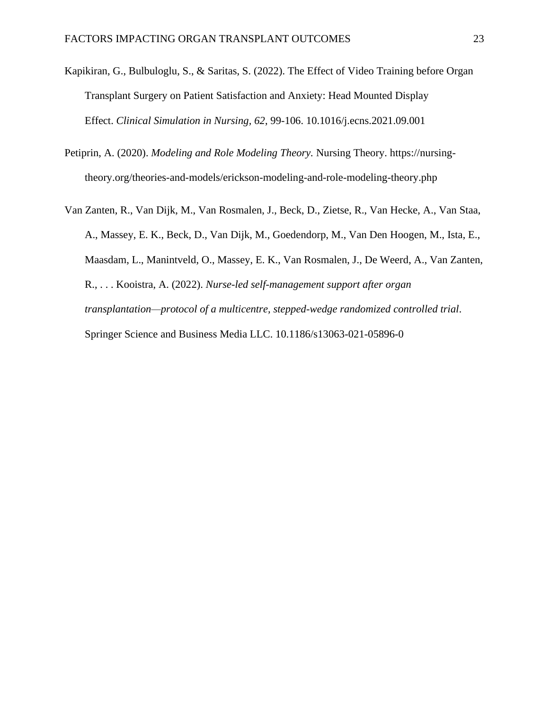- Kapikiran, G., Bulbuloglu, S., & Saritas, S. (2022). The Effect of Video Training before Organ Transplant Surgery on Patient Satisfaction and Anxiety: Head Mounted Display Effect. *Clinical Simulation in Nursing, 62*, 99-106. 10.1016/j.ecns.2021.09.001
- Petiprin, A. (2020). *Modeling and Role Modeling Theory.* Nursing Theory. https://nursingtheory.org/theories-and-models/erickson-modeling-and-role-modeling-theory.php
- Van Zanten, R., Van Dijk, M., Van Rosmalen, J., Beck, D., Zietse, R., Van Hecke, A., Van Staa, A., Massey, E. K., Beck, D., Van Dijk, M., Goedendorp, M., Van Den Hoogen, M., Ista, E., Maasdam, L., Manintveld, O., Massey, E. K., Van Rosmalen, J., De Weerd, A., Van Zanten, R., . . . Kooistra, A. (2022). *Nurse-led self-management support after organ transplantation—protocol of a multicentre, stepped-wedge randomized controlled trial*. Springer Science and Business Media LLC. 10.1186/s13063-021-05896-0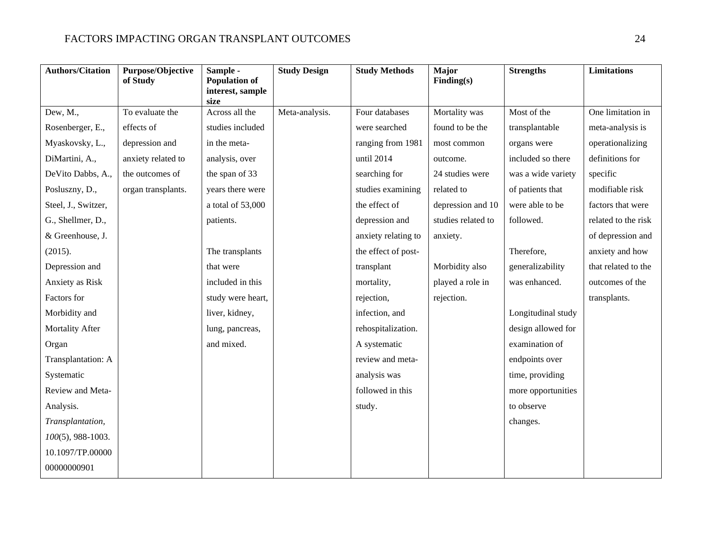| <b>Authors/Citation</b> | Purpose/Objective<br>of Study | Sample -<br><b>Population of</b><br>interest, sample<br>size | <b>Study Design</b> | <b>Study Methods</b> | Major<br>Finding(s) | <b>Strengths</b>   | <b>Limitations</b>  |
|-------------------------|-------------------------------|--------------------------------------------------------------|---------------------|----------------------|---------------------|--------------------|---------------------|
| Dew, M.,                | To evaluate the               | Across all the                                               | Meta-analysis.      | Four databases       | Mortality was       | Most of the        | One limitation in   |
| Rosenberger, E.,        | effects of                    | studies included                                             |                     | were searched        | found to be the     | transplantable     | meta-analysis is    |
| Myaskovsky, L.,         | depression and                | in the meta-                                                 |                     | ranging from 1981    | most common         | organs were        | operationalizing    |
| DiMartini, A.,          | anxiety related to            | analysis, over                                               |                     | until 2014           | outcome.            | included so there  | definitions for     |
| DeVito Dabbs, A.,       | the outcomes of               | the span of 33                                               |                     | searching for        | 24 studies were     | was a wide variety | specific            |
| Posluszny, D.,          | organ transplants.            | years there were                                             |                     | studies examining    | related to          | of patients that   | modifiable risk     |
| Steel, J., Switzer,     |                               | a total of 53,000                                            |                     | the effect of        | depression and 10   | were able to be    | factors that were   |
| G., Shellmer, D.,       |                               | patients.                                                    |                     | depression and       | studies related to  | followed.          | related to the risk |
| & Greenhouse, J.        |                               |                                                              |                     | anxiety relating to  | anxiety.            |                    | of depression and   |
| (2015).                 |                               | The transplants                                              |                     | the effect of post-  |                     | Therefore,         | anxiety and how     |
| Depression and          |                               | that were                                                    |                     | transplant           | Morbidity also      | generalizability   | that related to the |
| Anxiety as Risk         |                               | included in this                                             |                     | mortality,           | played a role in    | was enhanced.      | outcomes of the     |
| Factors for             |                               | study were heart,                                            |                     | rejection,           | rejection.          |                    | transplants.        |
| Morbidity and           |                               | liver, kidney,                                               |                     | infection, and       |                     | Longitudinal study |                     |
| Mortality After         |                               | lung, pancreas,                                              |                     | rehospitalization.   |                     | design allowed for |                     |
| Organ                   |                               | and mixed.                                                   |                     | A systematic         |                     | examination of     |                     |
| Transplantation: A      |                               |                                                              |                     | review and meta-     |                     | endpoints over     |                     |
| Systematic              |                               |                                                              |                     | analysis was         |                     | time, providing    |                     |
| Review and Meta-        |                               |                                                              |                     | followed in this     |                     | more opportunities |                     |
| Analysis.               |                               |                                                              |                     | study.               |                     | to observe         |                     |
| Transplantation,        |                               |                                                              |                     |                      |                     | changes.           |                     |
| $100(5)$ , 988-1003.    |                               |                                                              |                     |                      |                     |                    |                     |
| 10.1097/TP.00000        |                               |                                                              |                     |                      |                     |                    |                     |
| 00000000901             |                               |                                                              |                     |                      |                     |                    |                     |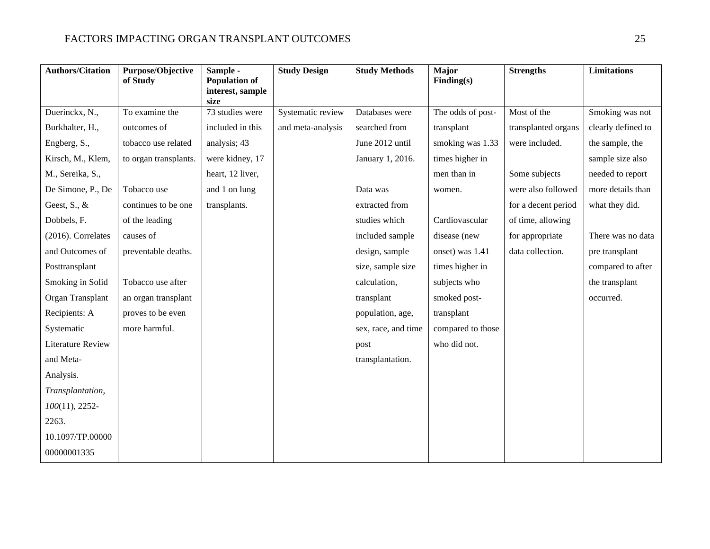| <b>Authors/Citation</b>   | Purpose/Objective<br>of Study | Sample -<br><b>Population of</b> | <b>Study Design</b> | <b>Study Methods</b> | Major<br>Finding(s) | <b>Strengths</b>    | <b>Limitations</b> |
|---------------------------|-------------------------------|----------------------------------|---------------------|----------------------|---------------------|---------------------|--------------------|
|                           |                               | interest, sample<br>size         |                     |                      |                     |                     |                    |
| Duerinckx, N.,            | To examine the                | 73 studies were                  | Systematic review   | Databases were       | The odds of post-   | Most of the         | Smoking was not    |
| Burkhalter, H.,           | outcomes of                   | included in this                 | and meta-analysis   | searched from        | transplant          | transplanted organs | clearly defined to |
| Engberg, S.,              | tobacco use related           | analysis; 43                     |                     | June 2012 until      | smoking was 1.33    | were included.      | the sample, the    |
| Kirsch, M., Klem,         | to organ transplants.         | were kidney, 17                  |                     | January 1, 2016.     | times higher in     |                     | sample size also   |
| M., Sereika, S.,          |                               | heart, 12 liver,                 |                     |                      | men than in         | Some subjects       | needed to report   |
| De Simone, P., De         | Tobacco use                   | and 1 on lung                    |                     | Data was             | women.              | were also followed  | more details than  |
| Geest, $S_{\cdot}$ , $\&$ | continues to be one           | transplants.                     |                     | extracted from       |                     | for a decent period | what they did.     |
| Dobbels, F.               | of the leading                |                                  |                     | studies which        | Cardiovascular      | of time, allowing   |                    |
| (2016). Correlates        | causes of                     |                                  |                     | included sample      | disease (new        | for appropriate     | There was no data  |
| and Outcomes of           | preventable deaths.           |                                  |                     | design, sample       | onset) was 1.41     | data collection.    | pre transplant     |
| Posttransplant            |                               |                                  |                     | size, sample size    | times higher in     |                     | compared to after  |
| Smoking in Solid          | Tobacco use after             |                                  |                     | calculation,         | subjects who        |                     | the transplant     |
| Organ Transplant          | an organ transplant           |                                  |                     | transplant           | smoked post-        |                     | occurred.          |
| Recipients: A             | proves to be even             |                                  |                     | population, age,     | transplant          |                     |                    |
| Systematic                | more harmful.                 |                                  |                     | sex, race, and time  | compared to those   |                     |                    |
| Literature Review         |                               |                                  |                     | post                 | who did not.        |                     |                    |
| and Meta-                 |                               |                                  |                     | transplantation.     |                     |                     |                    |
| Analysis.                 |                               |                                  |                     |                      |                     |                     |                    |
| Transplantation,          |                               |                                  |                     |                      |                     |                     |                    |
| $100(11)$ , 2252-         |                               |                                  |                     |                      |                     |                     |                    |
| 2263.                     |                               |                                  |                     |                      |                     |                     |                    |
| 10.1097/TP.00000          |                               |                                  |                     |                      |                     |                     |                    |
| 00000001335               |                               |                                  |                     |                      |                     |                     |                    |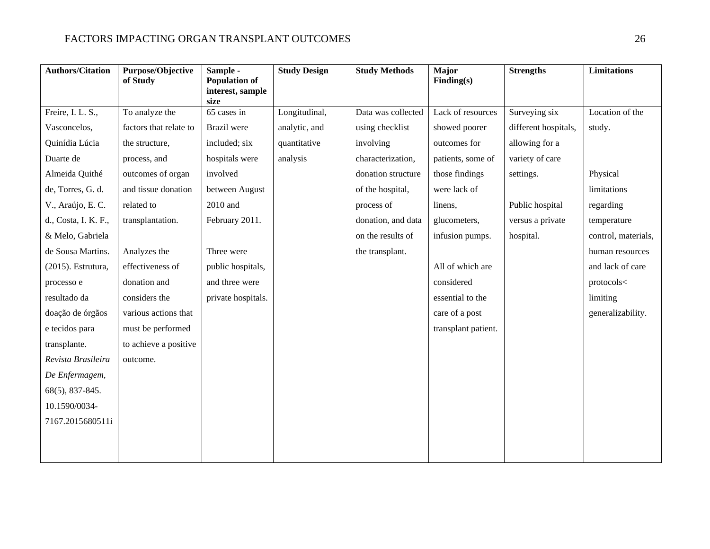# FACTORS IMPACTING ORGAN TRANSPLANT OUTCOMES 26

| <b>Authors/Citation</b> | <b>Purpose/Objective</b><br>of Study | Sample -<br><b>Population of</b><br>interest, sample | <b>Study Design</b> | <b>Study Methods</b> | Major<br>Finding(s) | <b>Strengths</b>     | <b>Limitations</b>  |
|-------------------------|--------------------------------------|------------------------------------------------------|---------------------|----------------------|---------------------|----------------------|---------------------|
|                         |                                      | size                                                 |                     |                      |                     |                      |                     |
| Freire, I. L. S.,       | To analyze the                       | 65 cases in                                          | Longitudinal,       | Data was collected   | Lack of resources   | Surveying six        | Location of the     |
| Vasconcelos,            | factors that relate to               | Brazil were                                          | analytic, and       | using checklist      | showed poorer       | different hospitals, | study.              |
| Quinídia Lúcia          | the structure,                       | included; six                                        | quantitative        | involving            | outcomes for        | allowing for a       |                     |
| Duarte de               | process, and                         | hospitals were                                       | analysis            | characterization,    | patients, some of   | variety of care      |                     |
| Almeida Quithé          | outcomes of organ                    | involved                                             |                     | donation structure   | those findings      | settings.            | Physical            |
| de, Torres, G. d.       | and tissue donation                  | between August                                       |                     | of the hospital,     | were lack of        |                      | limitations         |
| V., Araújo, E.C.        | related to                           | 2010 and                                             |                     | process of           | linens,             | Public hospital      | regarding           |
| d., Costa, I. K. F.,    | transplantation.                     | February 2011.                                       |                     | donation, and data   | glucometers,        | versus a private     | temperature         |
| & Melo, Gabriela        |                                      |                                                      |                     | on the results of    | infusion pumps.     | hospital.            | control, materials, |
| de Sousa Martins.       | Analyzes the                         | Three were                                           |                     | the transplant.      |                     |                      | human resources     |
| (2015). Estrutura,      | effectiveness of                     | public hospitals,                                    |                     |                      | All of which are    |                      | and lack of care    |
| processo e              | donation and                         | and three were                                       |                     |                      | considered          |                      | protocols<          |
| resultado da            | considers the                        | private hospitals.                                   |                     |                      | essential to the    |                      | limiting            |
| doação de órgãos        | various actions that                 |                                                      |                     |                      | care of a post      |                      | generalizability.   |
| e tecidos para          | must be performed                    |                                                      |                     |                      | transplant patient. |                      |                     |
| transplante.            | to achieve a positive                |                                                      |                     |                      |                     |                      |                     |
| Revista Brasileira      | outcome.                             |                                                      |                     |                      |                     |                      |                     |
| De Enfermagem,          |                                      |                                                      |                     |                      |                     |                      |                     |
| $68(5)$ , 837-845.      |                                      |                                                      |                     |                      |                     |                      |                     |
| 10.1590/0034-           |                                      |                                                      |                     |                      |                     |                      |                     |
| 7167.2015680511i        |                                      |                                                      |                     |                      |                     |                      |                     |
|                         |                                      |                                                      |                     |                      |                     |                      |                     |
|                         |                                      |                                                      |                     |                      |                     |                      |                     |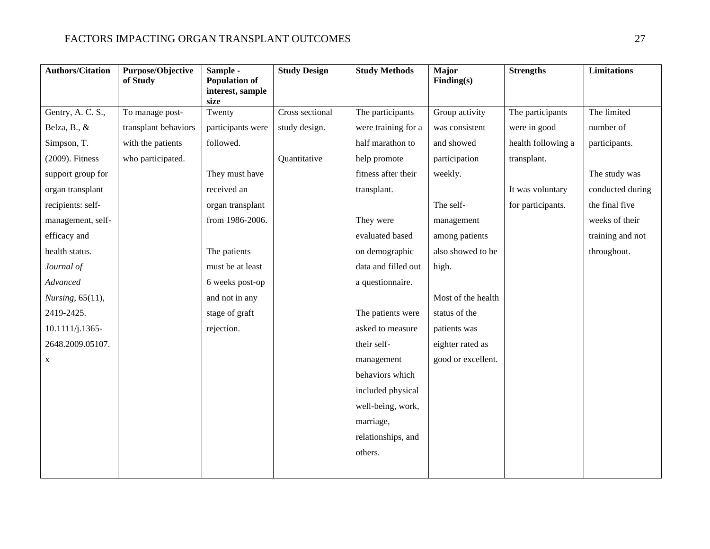# FACTORS IMPACTING ORGAN TRANSPLANT OUTCOMES 27

| <b>Authors/Citation</b> | Purpose/Objective<br>of Study | Sample -<br><b>Population of</b><br>interest, sample | <b>Study Design</b> | <b>Study Methods</b> | Major<br>Finding(s) | <b>Strengths</b>   | <b>Limitations</b> |
|-------------------------|-------------------------------|------------------------------------------------------|---------------------|----------------------|---------------------|--------------------|--------------------|
|                         |                               | size                                                 |                     |                      |                     |                    |                    |
| Gentry, A. C. S.,       | To manage post-               | Twenty                                               | Cross sectional     | The participants     | Group activity      | The participants   | The limited        |
| Belza, B., &            | transplant behaviors          | participants were                                    | study design.       | were training for a  | was consistent      | were in good       | number of          |
| Simpson, T.             | with the patients             | followed.                                            |                     | half marathon to     | and showed          | health following a | participants.      |
| (2009). Fitness         | who participated.             |                                                      | Quantitative        | help promote         | participation       | transplant.        |                    |
| support group for       |                               | They must have                                       |                     | fitness after their  | weekly.             |                    | The study was      |
| organ transplant        |                               | received an                                          |                     | transplant.          |                     | It was voluntary   | conducted during   |
| recipients: self-       |                               | organ transplant                                     |                     |                      | The self-           | for participants.  | the final five     |
| management, self-       |                               | from 1986-2006.                                      |                     | They were            | management          |                    | weeks of their     |
| efficacy and            |                               |                                                      |                     | evaluated based      | among patients      |                    | training and not   |
| health status.          |                               | The patients                                         |                     | on demographic       | also showed to be   |                    | throughout.        |
| Journal of              |                               | must be at least                                     |                     | data and filled out  | high.               |                    |                    |
| Advanced                |                               | 6 weeks post-op                                      |                     | a questionnaire.     |                     |                    |                    |
| Nursing, 65(11),        |                               | and not in any                                       |                     |                      | Most of the health  |                    |                    |
| 2419-2425.              |                               | stage of graft                                       |                     | The patients were    | status of the       |                    |                    |
| $10.1111/j.1365-$       |                               | rejection.                                           |                     | asked to measure     | patients was        |                    |                    |
| 2648.2009.05107.        |                               |                                                      |                     | their self-          | eighter rated as    |                    |                    |
| X                       |                               |                                                      |                     | management           | good or excellent.  |                    |                    |
|                         |                               |                                                      |                     | behaviors which      |                     |                    |                    |
|                         |                               |                                                      |                     | included physical    |                     |                    |                    |
|                         |                               |                                                      |                     | well-being, work,    |                     |                    |                    |
|                         |                               |                                                      |                     | marriage,            |                     |                    |                    |
|                         |                               |                                                      |                     | relationships, and   |                     |                    |                    |
|                         |                               |                                                      |                     | others.              |                     |                    |                    |
|                         |                               |                                                      |                     |                      |                     |                    |                    |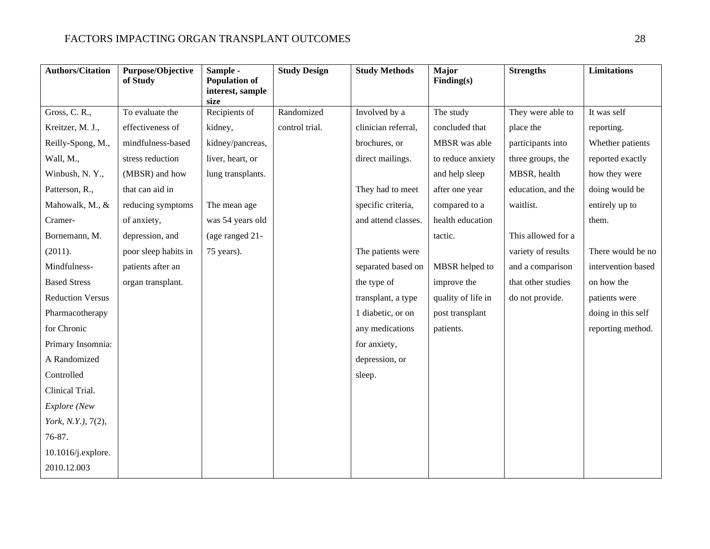| <b>Authors/Citation</b> | Purpose/Objective<br>of Study | Sample -<br><b>Population of</b><br>interest, sample | <b>Study Design</b> | <b>Study Methods</b> | <b>Major</b><br>Finding(s) | <b>Strengths</b>   | <b>Limitations</b> |
|-------------------------|-------------------------------|------------------------------------------------------|---------------------|----------------------|----------------------------|--------------------|--------------------|
|                         |                               | size                                                 |                     |                      |                            |                    |                    |
| Gross, C. R.,           | To evaluate the               | Recipients of                                        | Randomized          | Involved by a        | The study                  | They were able to  | It was self        |
| Kreitzer, M. J.,        | effectiveness of              | kidney,                                              | control trial.      | clinician referral,  | concluded that             | place the          | reporting.         |
| Reilly-Spong, M.,       | mindfulness-based             | kidney/pancreas,                                     |                     | brochures, or        | MBSR was able              | participants into  | Whether patients   |
| Wall, M.,               | stress reduction              | liver, heart, or                                     |                     | direct mailings.     | to reduce anxiety          | three groups, the  | reported exactly   |
| Winbush, N.Y.,          | (MBSR) and how                | lung transplants.                                    |                     |                      | and help sleep             | MBSR, health       | how they were      |
| Patterson, R.,          | that can aid in               |                                                      |                     | They had to meet     | after one year             | education, and the | doing would be     |
| Mahowalk, M., &         | reducing symptoms             | The mean age                                         |                     | specific criteria,   | compared to a              | waitlist.          | entirely up to     |
| Cramer-                 | of anxiety,                   | was 54 years old                                     |                     | and attend classes.  | health education           |                    | them.              |
| Bornemann, M.           | depression, and               | (age ranged 21-                                      |                     |                      | tactic.                    | This allowed for a |                    |
| (2011).                 | poor sleep habits in          | 75 years).                                           |                     | The patients were    |                            | variety of results | There would be no  |
| Mindfulness-            | patients after an             |                                                      |                     | separated based on   | MBSR helped to             | and a comparison   | intervention based |
| <b>Based Stress</b>     | organ transplant.             |                                                      |                     | the type of          | improve the                | that other studies | on how the         |
| <b>Reduction Versus</b> |                               |                                                      |                     | transplant, a type   | quality of life in         | do not provide.    | patients were      |
| Pharmacotherapy         |                               |                                                      |                     | 1 diabetic, or on    | post transplant            |                    | doing in this self |
| for Chronic             |                               |                                                      |                     | any medications      | patients.                  |                    | reporting method.  |
| Primary Insomnia:       |                               |                                                      |                     | for anxiety,         |                            |                    |                    |
| A Randomized            |                               |                                                      |                     | depression, or       |                            |                    |                    |
| Controlled              |                               |                                                      |                     | sleep.               |                            |                    |                    |
| Clinical Trial.         |                               |                                                      |                     |                      |                            |                    |                    |
| Explore (New            |                               |                                                      |                     |                      |                            |                    |                    |
| York, N.Y.), 7(2),      |                               |                                                      |                     |                      |                            |                    |                    |
| 76-87.                  |                               |                                                      |                     |                      |                            |                    |                    |
| 10.1016/j.explore.      |                               |                                                      |                     |                      |                            |                    |                    |
| 2010.12.003             |                               |                                                      |                     |                      |                            |                    |                    |